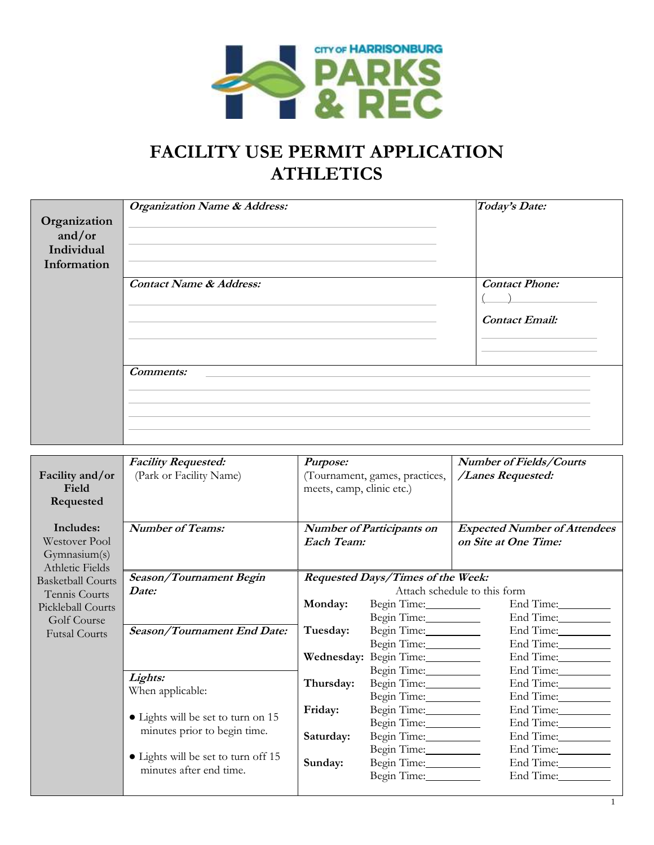

## **FACILITY USE PERMIT APPLICATION ATHLETICS**

| Organization<br>and/or<br>Individual<br>Information | <b>Organization Name &amp; Address:</b> | Today's Date:                                  |
|-----------------------------------------------------|-----------------------------------------|------------------------------------------------|
|                                                     | <b>Contact Name &amp; Address:</b>      | <b>Contact Phone:</b><br><b>Contact Email:</b> |
|                                                     | <b>Comments:</b>                        |                                                |

| Facility and/or<br><b>Field</b><br>Requested                  | <b>Facility Requested:</b><br>(Park or Facility Name)              | Purpose:<br>(Tournament, games, practices,<br>meets, camp, clinic etc.) |                                  | <b>Number of Fields/Courts</b><br>/Lanes Requested:         |  |
|---------------------------------------------------------------|--------------------------------------------------------------------|-------------------------------------------------------------------------|----------------------------------|-------------------------------------------------------------|--|
| Includes:<br>Westover Pool<br>Gymnasium(s)<br>Athletic Fields | <b>Number of Teams:</b>                                            | Each Team:                                                              | <b>Number of Participants on</b> | <b>Expected Number of Attendees</b><br>on Site at One Time: |  |
| <b>Basketball Courts</b>                                      | Season/Tournament Begin                                            | Requested Days/Times of the Week:                                       |                                  |                                                             |  |
| Tennis Courts                                                 | Date:                                                              |                                                                         | Attach schedule to this form     |                                                             |  |
| Pickleball Courts                                             |                                                                    | Monday:                                                                 | Begin Time:                      | End Time:                                                   |  |
| Golf Course                                                   |                                                                    |                                                                         | Begin Time:                      | End Time:                                                   |  |
| <b>Futsal Courts</b>                                          | Season/Tournament End Date:<br>Lights:<br>When applicable:         | Tuesday:<br>Thursday:                                                   | Begin Time:                      | End Time:__________                                         |  |
|                                                               |                                                                    |                                                                         | Begin Time: _____________        | End Time:__________                                         |  |
|                                                               |                                                                    |                                                                         | Wednesday: Begin Time:           | End Time:                                                   |  |
|                                                               |                                                                    |                                                                         | Begin Time:                      | End Time:                                                   |  |
|                                                               |                                                                    |                                                                         | Begin Time:_________             | End Time:                                                   |  |
|                                                               |                                                                    | Begin Time:__________                                                   |                                  | End Time:                                                   |  |
|                                                               | • Lights will be set to turn on 15<br>minutes prior to begin time. | Begin Time:__________<br>Friday:                                        |                                  | End Time:                                                   |  |
|                                                               |                                                                    |                                                                         | Begin Time:__________            | End Time:                                                   |  |
|                                                               |                                                                    | Saturday:                                                               | Begin Time:___________           | End Time:__________                                         |  |
|                                                               | • Lights will be set to turn off 15<br>minutes after end time.     |                                                                         | Begin Time:___________           | End Time:                                                   |  |
|                                                               |                                                                    | Sunday:                                                                 | Begin Time:                      | End Time:__________                                         |  |
|                                                               |                                                                    |                                                                         | Begin Time:                      | End Time:                                                   |  |
|                                                               |                                                                    |                                                                         |                                  |                                                             |  |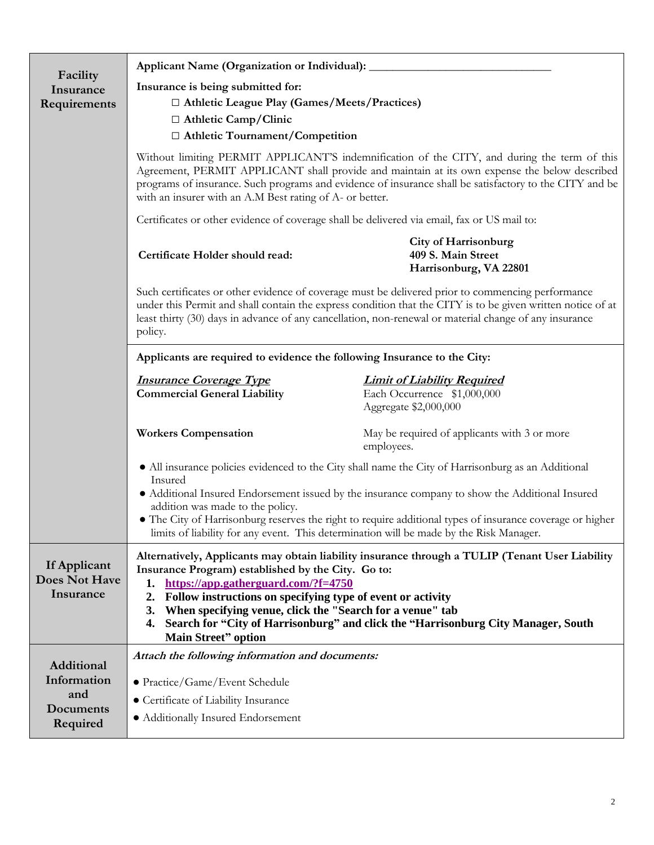|                                                   | Applicant Name (Organization or Individual):                                                                                                                                                                                                                                                                                                                                                                                                                                                                                                                                                                                                                                                                                                                                                                                                                                                                                                                                                               |                                                                                            |  |
|---------------------------------------------------|------------------------------------------------------------------------------------------------------------------------------------------------------------------------------------------------------------------------------------------------------------------------------------------------------------------------------------------------------------------------------------------------------------------------------------------------------------------------------------------------------------------------------------------------------------------------------------------------------------------------------------------------------------------------------------------------------------------------------------------------------------------------------------------------------------------------------------------------------------------------------------------------------------------------------------------------------------------------------------------------------------|--------------------------------------------------------------------------------------------|--|
| Facility                                          | Insurance is being submitted for:                                                                                                                                                                                                                                                                                                                                                                                                                                                                                                                                                                                                                                                                                                                                                                                                                                                                                                                                                                          |                                                                                            |  |
| Insurance<br>Requirements                         | □ Athletic League Play (Games/Meets/Practices)                                                                                                                                                                                                                                                                                                                                                                                                                                                                                                                                                                                                                                                                                                                                                                                                                                                                                                                                                             |                                                                                            |  |
|                                                   | □ Athletic Camp/Clinic                                                                                                                                                                                                                                                                                                                                                                                                                                                                                                                                                                                                                                                                                                                                                                                                                                                                                                                                                                                     |                                                                                            |  |
|                                                   | □ Athletic Tournament/Competition                                                                                                                                                                                                                                                                                                                                                                                                                                                                                                                                                                                                                                                                                                                                                                                                                                                                                                                                                                          |                                                                                            |  |
|                                                   | Without limiting PERMIT APPLICANT'S indemnification of the CITY, and during the term of this<br>Agreement, PERMIT APPLICANT shall provide and maintain at its own expense the below described<br>programs of insurance. Such programs and evidence of insurance shall be satisfactory to the CITY and be<br>with an insurer with an A.M Best rating of A- or better.<br>Certificates or other evidence of coverage shall be delivered via email, fax or US mail to:<br><b>City of Harrisonburg</b><br>409 S. Main Street<br>Certificate Holder should read:<br>Harrisonburg, VA 22801<br>Such certificates or other evidence of coverage must be delivered prior to commencing performance<br>under this Permit and shall contain the express condition that the CITY is to be given written notice of at<br>least thirty (30) days in advance of any cancellation, non-renewal or material change of any insurance<br>policy.<br>Applicants are required to evidence the following Insurance to the City: |                                                                                            |  |
|                                                   |                                                                                                                                                                                                                                                                                                                                                                                                                                                                                                                                                                                                                                                                                                                                                                                                                                                                                                                                                                                                            |                                                                                            |  |
|                                                   |                                                                                                                                                                                                                                                                                                                                                                                                                                                                                                                                                                                                                                                                                                                                                                                                                                                                                                                                                                                                            |                                                                                            |  |
|                                                   |                                                                                                                                                                                                                                                                                                                                                                                                                                                                                                                                                                                                                                                                                                                                                                                                                                                                                                                                                                                                            |                                                                                            |  |
|                                                   |                                                                                                                                                                                                                                                                                                                                                                                                                                                                                                                                                                                                                                                                                                                                                                                                                                                                                                                                                                                                            |                                                                                            |  |
|                                                   | <b>Insurance Coverage Type</b><br><b>Commercial General Liability</b>                                                                                                                                                                                                                                                                                                                                                                                                                                                                                                                                                                                                                                                                                                                                                                                                                                                                                                                                      | <b>Limit of Liability Required</b><br>Each Occurrence \$1,000,000<br>Aggregate \$2,000,000 |  |
|                                                   | <b>Workers Compensation</b>                                                                                                                                                                                                                                                                                                                                                                                                                                                                                                                                                                                                                                                                                                                                                                                                                                                                                                                                                                                | May be required of applicants with 3 or more<br>employees.                                 |  |
|                                                   | • All insurance policies evidenced to the City shall name the City of Harrisonburg as an Additional<br>Insured                                                                                                                                                                                                                                                                                                                                                                                                                                                                                                                                                                                                                                                                                                                                                                                                                                                                                             |                                                                                            |  |
|                                                   | • Additional Insured Endorsement issued by the insurance company to show the Additional Insured<br>addition was made to the policy.<br>• The City of Harrisonburg reserves the right to require additional types of insurance coverage or higher<br>limits of liability for any event. This determination will be made by the Risk Manager.                                                                                                                                                                                                                                                                                                                                                                                                                                                                                                                                                                                                                                                                |                                                                                            |  |
|                                                   |                                                                                                                                                                                                                                                                                                                                                                                                                                                                                                                                                                                                                                                                                                                                                                                                                                                                                                                                                                                                            |                                                                                            |  |
| If Applicant<br><b>Does Not Have</b><br>Insurance | Alternatively, Applicants may obtain liability insurance through a TULIP (Tenant User Liability<br>Insurance Program) established by the City. Go to:<br>https://app.gatherguard.com/?f=4750<br>1.<br>Follow instructions on specifying type of event or activity<br>2.<br>When specifying venue, click the "Search for a venue" tab<br>3.<br>4. Search for "City of Harrisonburg" and click the "Harrisonburg City Manager, South<br><b>Main Street"</b> option                                                                                                                                                                                                                                                                                                                                                                                                                                                                                                                                           |                                                                                            |  |
| <b>Additional</b>                                 | Attach the following information and documents:<br>• Practice/Game/Event Schedule<br>• Certificate of Liability Insurance<br>• Additionally Insured Endorsement                                                                                                                                                                                                                                                                                                                                                                                                                                                                                                                                                                                                                                                                                                                                                                                                                                            |                                                                                            |  |
| Information                                       |                                                                                                                                                                                                                                                                                                                                                                                                                                                                                                                                                                                                                                                                                                                                                                                                                                                                                                                                                                                                            |                                                                                            |  |
| and                                               |                                                                                                                                                                                                                                                                                                                                                                                                                                                                                                                                                                                                                                                                                                                                                                                                                                                                                                                                                                                                            |                                                                                            |  |
| Documents                                         |                                                                                                                                                                                                                                                                                                                                                                                                                                                                                                                                                                                                                                                                                                                                                                                                                                                                                                                                                                                                            |                                                                                            |  |
| Required                                          |                                                                                                                                                                                                                                                                                                                                                                                                                                                                                                                                                                                                                                                                                                                                                                                                                                                                                                                                                                                                            |                                                                                            |  |